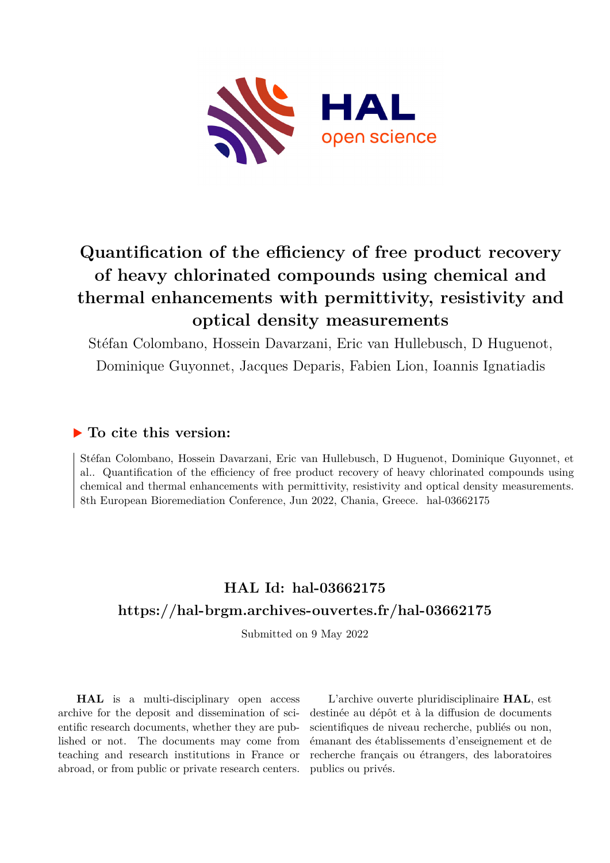

# **Quantification of the efficiency of free product recovery of heavy chlorinated compounds using chemical and thermal enhancements with permittivity, resistivity and optical density measurements**

Stéfan Colombano, Hossein Davarzani, Eric van Hullebusch, D Huguenot, Dominique Guyonnet, Jacques Deparis, Fabien Lion, Ioannis Ignatiadis

## **To cite this version:**

Stéfan Colombano, Hossein Davarzani, Eric van Hullebusch, D Huguenot, Dominique Guyonnet, et al.. Quantification of the efficiency of free product recovery of heavy chlorinated compounds using chemical and thermal enhancements with permittivity, resistivity and optical density measurements. 8th European Bioremediation Conference, Jun 2022, Chania, Greece. hal-03662175

## **HAL Id: hal-03662175 <https://hal-brgm.archives-ouvertes.fr/hal-03662175>**

Submitted on 9 May 2022

**HAL** is a multi-disciplinary open access archive for the deposit and dissemination of scientific research documents, whether they are published or not. The documents may come from teaching and research institutions in France or abroad, or from public or private research centers.

L'archive ouverte pluridisciplinaire **HAL**, est destinée au dépôt et à la diffusion de documents scientifiques de niveau recherche, publiés ou non, émanant des établissements d'enseignement et de recherche français ou étrangers, des laboratoires publics ou privés.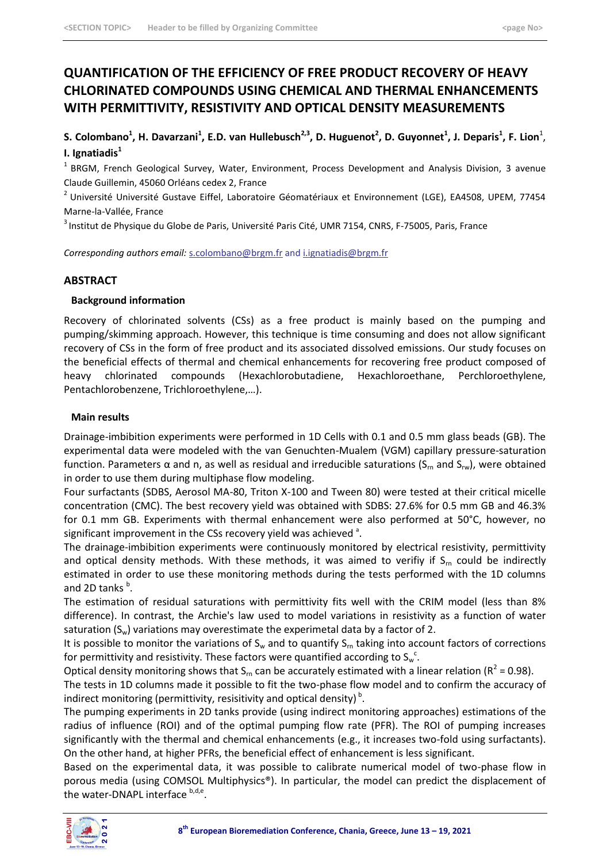## **QUANTIFICATION OF THE EFFICIENCY OF FREE PRODUCT RECOVERY OF HEAVY CHLORINATED COMPOUNDS USING CHEMICAL AND THERMAL ENHANCEMENTS WITH PERMITTIVITY, RESISTIVITY AND OPTICAL DENSITY MEASUREMENTS**

**S. Colombano<sup>1</sup> , H. Davarzani<sup>1</sup> , E.D. van Hullebusch2,3, D. Huguenot<sup>2</sup> , D. Guyonnet<sup>1</sup> , J. Deparis<sup>1</sup> , F. Lion**<sup>1</sup> , **I. Ignatiadis<sup>1</sup>**

<sup>1</sup> BRGM, French Geological Survey, Water, Environment, Process Development and Analysis Division, 3 avenue Claude Guillemin, 45060 Orléans cedex 2, France

<sup>2</sup> Université Université Gustave Eiffel, Laboratoire Géomatériaux et Environnement (LGE), EA4508, UPEM, 77454 Marne-la-Vallée, France

<sup>3</sup> Institut de Physique du Globe de Paris, Université Paris Cité, UMR 7154, CNRS, F-75005, Paris, France

*Corresponding authors email:* [s.colombano@brgm.fr](mailto:s.colombano@brgm.fr) and i.ignatiadis@brgm.fr

#### **ABSTRACT**

#### **Background information**

Recovery of chlorinated solvents (CSs) as a free product is mainly based on the pumping and pumping/skimming approach. However, this technique is time consuming and does not allow significant recovery of CSs in the form of free product and its associated dissolved emissions. Our study focuses on the beneficial effects of thermal and chemical enhancements for recovering free product composed of heavy chlorinated compounds (Hexachlorobutadiene, Hexachloroethane, Perchloroethylene, Pentachlorobenzene, Trichloroethylene,…).

#### **Main results**

Drainage-imbibition experiments were performed in 1D Cells with 0.1 and 0.5 mm glass beads (GB). The experimental data were modeled with the van Genuchten-Mualem (VGM) capillary pressure-saturation function. Parameters α and n, as well as residual and irreducible saturations (S<sub>m</sub> and S<sub>rw</sub>), were obtained in order to use them during multiphase flow modeling.

Four surfactants (SDBS, Aerosol MA-80, Triton X-100 and Tween 80) were tested at their critical micelle concentration (CMC). The best recovery yield was obtained with SDBS: 27.6% for 0.5 mm GB and 46.3% for 0.1 mm GB. Experiments with thermal enhancement were also performed at 50°C, however, no significant improvement in the CSs recovery yield was achieved  $^3$ .

The drainage-imbibition experiments were continuously monitored by electrical resistivity, permittivity and optical density methods. With these methods, it was aimed to verifiy if  $S<sub>m</sub>$  could be indirectly estimated in order to use these monitoring methods during the tests performed with the 1D columns and 2D tanks <sup>b</sup>.

The estimation of residual saturations with permittivity fits well with the CRIM model (less than 8% difference). In contrast, the Archie's law used to model variations in resistivity as a function of water saturation  $(S_w)$  variations may overestimate the experimetal data by a factor of 2.

It is possible to monitor the variations of  $S_w$  and to quantify  $S_m$  taking into account factors of corrections for permittivity and resistivity. These factors were quantified according to  $S_{w}^{\;\;\:c}$ .

Optical density monitoring shows that S<sub>rn</sub> can be accurately estimated with a linear relation (R<sup>2</sup> = 0.98).

The tests in 1D columns made it possible to fit the two-phase flow model and to confirm the accuracy of indirect monitoring (permittivity, resisitivity and optical density)<sup>b</sup>.

The pumping experiments in 2D tanks provide (using indirect monitoring approaches) estimations of the radius of influence (ROI) and of the optimal pumping flow rate (PFR). The ROI of pumping increases significantly with the thermal and chemical enhancements (e.g., it increases two-fold using surfactants). On the other hand, at higher PFRs, the beneficial effect of enhancement is less significant.

Based on the experimental data, it was possible to calibrate numerical model of two-phase flow in porous media (using COMSOL Multiphysics®). In particular, the model can predict the displacement of the water-DNAPL interface <sup>b,d,e</sup>.